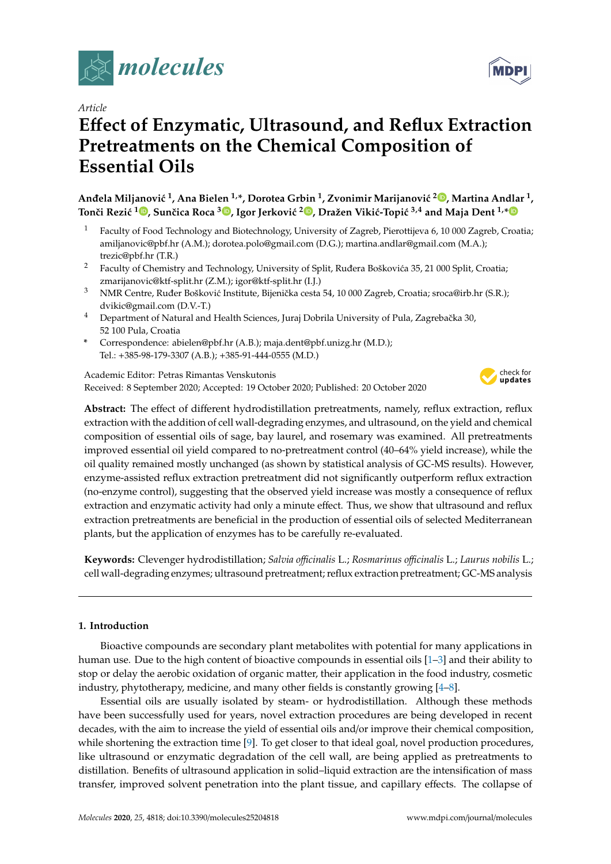

*Article*

# **E**ff**ect of Enzymatic, Ultrasound, and Reflux Extraction Pretreatments on the Chemical Composition of Essential Oils**

 $\bf{A}$ nđela Miljanović  $^1$ [,](https://orcid.org/0000-0001-9786-5956) Ana Bielen  $^{1,\ast}$ , Dorotea Grbin  $^1$ , Zvonimir Marijanović  $^{2}$ ®, Martina Andlar  $^1$ , **Tonˇci Rezi´c <sup>1</sup> [,](https://orcid.org/0000-0001-7290-5202) Sunˇcica Roca <sup>3</sup> [,](https://orcid.org/0000-0001-9562-6820) Igor Jerkovi´c <sup>2</sup> [,](https://orcid.org/0000-0002-0727-6662) Dražen Viki´c-Topi´c 3,4 and Maja Dent 1,[\\*](https://orcid.org/0000-0002-1860-1539)**

- <sup>1</sup> Faculty of Food Technology and Biotechnology, University of Zagreb, Pierottijeva 6, 10 000 Zagreb, Croatia; amiljanovic@pbf.hr (A.M.); dorotea.polo@gmail.com (D.G.); martina.andlar@gmail.com (M.A.); trezic@pbf.hr (T.R.)
- <sup>2</sup> Faculty of Chemistry and Technology, University of Split, Ruđera Boškovića 35, 21 000 Split, Croatia; zmarijanovic@ktf-split.hr (Z.M.); igor@ktf-split.hr (I.J.)
- <sup>3</sup> NMR Centre, Ruđer Bošković Institute, Bijenička cesta 54, 10 000 Zagreb, Croatia; sroca@irb.hr (S.R.); dvikic@gmail.com (D.V.-T.)
- <sup>4</sup> Department of Natural and Health Sciences, Juraj Dobrila University of Pula, Zagrebačka 30, 52 100 Pula, Croatia
- **\*** Correspondence: abielen@pbf.hr (A.B.); maja.dent@pbf.unizg.hr (M.D.); Tel.: +385-98-179-3307 (A.B.); +385-91-444-0555 (M.D.)

Academic Editor: Petras Rimantas Venskutonis Received: 8 September 2020; Accepted: 19 October 2020; Published: 20 October 2020



**Abstract:** The effect of different hydrodistillation pretreatments, namely, reflux extraction, reflux extraction with the addition of cell wall-degrading enzymes, and ultrasound, on the yield and chemical composition of essential oils of sage, bay laurel, and rosemary was examined. All pretreatments improved essential oil yield compared to no-pretreatment control (40–64% yield increase), while the oil quality remained mostly unchanged (as shown by statistical analysis of GC-MS results). However, enzyme-assisted reflux extraction pretreatment did not significantly outperform reflux extraction (no-enzyme control), suggesting that the observed yield increase was mostly a consequence of reflux extraction and enzymatic activity had only a minute effect. Thus, we show that ultrasound and reflux extraction pretreatments are beneficial in the production of essential oils of selected Mediterranean plants, but the application of enzymes has to be carefully re-evaluated.

**Keywords:** Clevenger hydrodistillation; *Salvia o*ffi*cinalis* L.; *Rosmarinus o*ffi*cinalis* L.; *Laurus nobilis* L.; cell wall-degrading enzymes; ultrasound pretreatment; reflux extraction pretreatment; GC-MS analysis

# **1. Introduction**

Bioactive compounds are secondary plant metabolites with potential for many applications in human use. Due to the high content of bioactive compounds in essential oils [\[1–](#page-8-0)[3\]](#page-8-1) and their ability to stop or delay the aerobic oxidation of organic matter, their application in the food industry, cosmetic industry, phytotherapy, medicine, and many other fields is constantly growing [\[4–](#page-8-2)[8\]](#page-8-3).

Essential oils are usually isolated by steam- or hydrodistillation. Although these methods have been successfully used for years, novel extraction procedures are being developed in recent decades, with the aim to increase the yield of essential oils and/or improve their chemical composition, while shortening the extraction time [\[9\]](#page-8-4). To get closer to that ideal goal, novel production procedures, like ultrasound or enzymatic degradation of the cell wall, are being applied as pretreatments to distillation. Benefits of ultrasound application in solid–liquid extraction are the intensification of mass transfer, improved solvent penetration into the plant tissue, and capillary effects. The collapse of

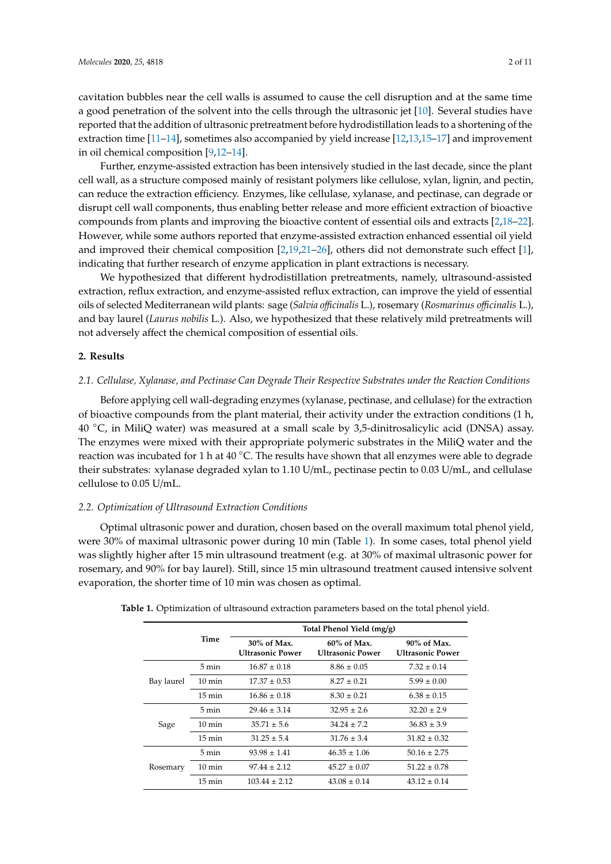cavitation bubbles near the cell walls is assumed to cause the cell disruption and at the same time a good penetration of the solvent into the cells through the ultrasonic jet [\[10\]](#page-8-5). Several studies have reported that the addition of ultrasonic pretreatment before hydrodistillation leads to a shortening of the extraction time [\[11–](#page-8-6)[14\]](#page-9-0), sometimes also accompanied by yield increase [\[12](#page-8-7)[,13,](#page-8-8)[15](#page-9-1)[–17\]](#page-9-2) and improvement in oil chemical composition [\[9](#page-8-4)[,12–](#page-8-7)[14\]](#page-9-0).

Further, enzyme-assisted extraction has been intensively studied in the last decade, since the plant cell wall, as a structure composed mainly of resistant polymers like cellulose, xylan, lignin, and pectin, can reduce the extraction efficiency. Enzymes, like cellulase, xylanase, and pectinase, can degrade or disrupt cell wall components, thus enabling better release and more efficient extraction of bioactive compounds from plants and improving the bioactive content of essential oils and extracts [\[2,](#page-8-9)[18–](#page-9-3)[22\]](#page-9-4). However, while some authors reported that enzyme-assisted extraction enhanced essential oil yield and improved their chemical composition [\[2,](#page-8-9)[19,](#page-9-5)[21–](#page-9-6)[26\]](#page-9-7), others did not demonstrate such effect [\[1\]](#page-8-0), indicating that further research of enzyme application in plant extractions is necessary.

We hypothesized that different hydrodistillation pretreatments, namely, ultrasound-assisted extraction, reflux extraction, and enzyme-assisted reflux extraction, can improve the yield of essential oils of selected Mediterranean wild plants: sage (*Salvia o*ffi*cinalis* L.), rosemary (*Rosmarinus o*ffi*cinalis* L.), and bay laurel (*Laurus nobilis* L.). Also, we hypothesized that these relatively mild pretreatments will not adversely affect the chemical composition of essential oils.

#### **2. Results**

#### *2.1. Cellulase, Xylanase, and Pectinase Can Degrade Their Respective Substrates under the Reaction Conditions*

Before applying cell wall-degrading enzymes (xylanase, pectinase, and cellulase) for the extraction of bioactive compounds from the plant material, their activity under the extraction conditions (1 h, 40 ◦C, in MiliQ water) was measured at a small scale by 3,5-dinitrosalicylic acid (DNSA) assay. The enzymes were mixed with their appropriate polymeric substrates in the MiliQ water and the reaction was incubated for 1 h at 40  $\degree$ C. The results have shown that all enzymes were able to degrade their substrates: xylanase degraded xylan to 1.10 U/mL, pectinase pectin to 0.03 U/mL, and cellulase cellulose to 0.05 U/mL.

## *2.2. Optimization of Ultrasound Extraction Conditions*

Optimal ultrasonic power and duration, chosen based on the overall maximum total phenol yield, were 30% of maximal ultrasonic power during 10 min (Table [1\)](#page-1-0). In some cases, total phenol yield was slightly higher after 15 min ultrasound treatment (e.g. at 30% of maximal ultrasonic power for rosemary, and 90% for bay laurel). Still, since 15 min ultrasound treatment caused intensive solvent evaporation, the shorter time of 10 min was chosen as optimal.

|            | Time             | Total Phenol Yield (mg/g)                 |                                           |                                           |
|------------|------------------|-------------------------------------------|-------------------------------------------|-------------------------------------------|
|            |                  | $30\%$ of Max.<br><b>Ultrasonic Power</b> | $60\%$ of Max.<br><b>Ultrasonic Power</b> | $90\%$ of Max.<br><b>Ultrasonic Power</b> |
| Bay laurel | 5 min            | $16.87 \pm 0.18$                          | $8.86 \pm 0.05$                           | $7.32 \pm 0.14$                           |
|            | $10 \text{ min}$ | $17.37 \pm 0.53$                          | $8.27 \pm 0.21$                           | $5.99 \pm 0.00$                           |
|            | $15 \text{ min}$ | $16.86 \pm 0.18$                          | $8.30 \pm 0.21$                           | $6.38 \pm 0.15$                           |
| Sage       | 5 min            | $29.46 \pm 3.14$                          | $32.95 \pm 2.6$                           | $32.20 \pm 2.9$                           |
|            | $10 \text{ min}$ | $35.71 \pm 5.6$                           | $34.24 \pm 7.2$                           | $36.83 \pm 3.9$                           |
|            | $15 \text{ min}$ | $31.25 \pm 5.4$                           | $31.76 \pm 3.4$                           | $31.82 \pm 0.32$                          |
| Rosemary   | 5 min            | $93.98 \pm 1.41$                          | $46.35 \pm 1.06$                          | $50.16 \pm 2.75$                          |
|            | $10 \text{ min}$ | $97.44 \pm 2.12$                          | $45.27 \pm 0.07$                          | $51.22 \pm 0.78$                          |
|            | 15 min           | $103.44 \pm 2.12$                         | $43.08 \pm 0.14$                          | $43.12 \pm 0.14$                          |

<span id="page-1-0"></span>**Table 1.** Optimization of ultrasound extraction parameters based on the total phenol yield.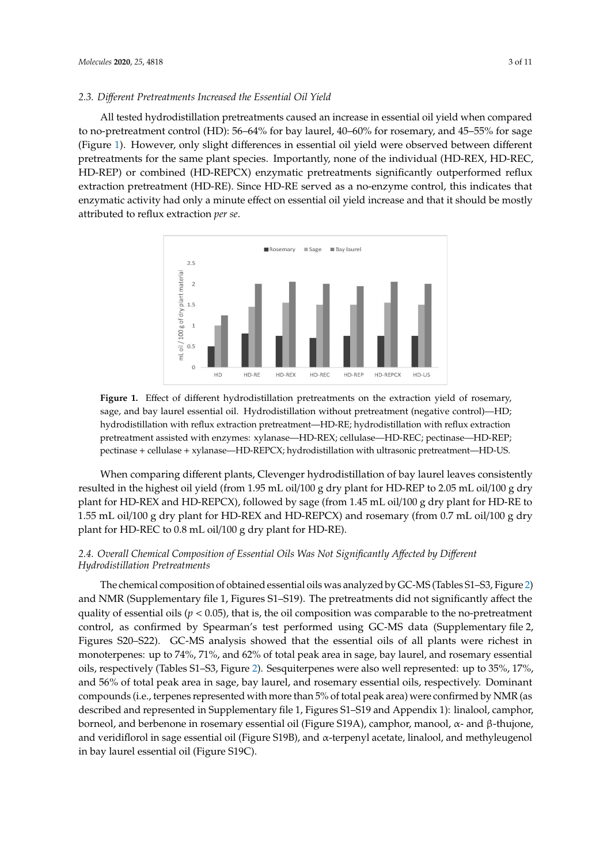# *2.3. Di*ff*erent Pretreatments Increased the Essential Oil Yield 2.3. Different Pretreatments Increased the Essential Oil Yield*

All tested hydrodistillation pretreatments caused an increase in essential oil yield when compared All tested hydrodistillation pretreatments caused an increase in essential oil yield when to no-pretreatment control (HD): 56–64% for bay laurel, 40–60% for rosemary, and 45–55% for sage (Figure [1\)](#page-2-0). However, only slight differences in essential oil yield were observed between different pretreatments for the same plant species. Importantly, none of the individual (HD-REX, HD-REC, HD-REP) or combined (HD-REPCX) enzymatic pretreatments significantly outperformed reflux extraction pretreatment (HD-RE). Since HD-RE served as a no-enzyme control, this indicates that enzymatic activity had only a minute effect on essential oil yield increase and that it should be mostly attributed to reflux extraction *per se*. mostly attributed to reflux extraction *per se*.

<span id="page-2-0"></span>

**Figure 1.** Effect of different hydrodistillation pretreatments on the extraction yield of rosemary, and bay laurel essential oil. Hydrodistillation without pretreatment (negative control)—HD; sage, and bay laurel essential oil. Hydrodistillation without pretreatment (negative control)—HD; hydrodistillation with reflux extraction pretreatment—HD-RE; hydrodistillation with reflux hydrodistillation with reflux extraction pretreatment—HD-RE; hydrodistillation with reflux extraction<br>pretreatment assisted with enzymes: xylanase—HD-REX; cellulase—HD-REC; pectinase—HD-REP; HD-REP; pectinase + cellulase + xylanase—HD-REPCX; hydrodistillation with ultrasonic pectinase + cellulase + xylanase—HD-REPCX; hydrodistillation with ultrasonic pretreatment—HD-US.

pretreatment—HD-US. resulted in the highest oil yield (from 1.95 mL oil/100 g dry plant for HD-REP to 2.05 mL oil/100 g dry plant for HD-REX and HD-REPCX), followed by sage (from 1.45 mL oil/100 g dry plant for HD-RE to  $1.55$  mL oil/100 g dry plant for HD-REX and HD-REPCX) and rosemary (from 0.7 mL oil/100 g dry plant for HD-REC to 0.8 mL oil/100 g dry plant for HD-RE). When comparing different plants, Clevenger hydrodistillation of bay laurel leaves consistently

# plant for HD-REC to 0.8 mL oil/100 g dry plant for HD-RE). *2.4. Overall Chemical Composition of Essential Oils Was Not Significantly A*ff*ected by Di*ff*erent 2.4. Overall Chemical Composition of Essential Oils Was Not Significantly Affected by Different Hydrodistillation Pretreatments*

*Hydrodistillation Pretreatments*  The chemical composition of obtained essential oils was analyzed by GC-MS (Tables S1–S3, Figure [2\)](#page-3-0) quality of essential oils ( $p < 0.05$ ), that is, the oil composition was comparable to the no-pretreatment Figures) are exercised and  $\gamma$  are experienced to the present the presentation control, as confirmed by Spearman's test performed using GC-MS data (Supplementary file 2, affect the quality of essential oils (*p* < 0.05), that is, the oil composition was comparable to the no-Figures S20–S22). GC-MS analysis showed that the essential oils of all plants were richest in pretreatment control in the management control in the control of the peak of the performed using GC-MS data (Supplementary essential monoterpenes: up to 74%, 71%, and 62% of total peak area in sage, bay laurel, and rosemar oils, respectively (Tables S1–S3, Figure [2\)](#page-3-0). Sesquiterpenes were also well represented: up to 35%, 17%, monoterpenes: up to 74%, 71%, and 62% of total peak area in sage, bay laurel, and rosemary essential and 56% of total peak area in sage, bay laurel, and rosemary essential oils, respectively. Dominant compounds (i.e., terpenes represented with more than 5% of total peak area) were confirmed by NMR (as described and represented in Supplementary file 1, Figures S1–S19 and Appendix 1): linalool, camphor, and NMR (Supplementary file 1, Figures S1–S19). The pretreatments did not significantly affect the borneol, and berbenone in rosemary essential oil (Figure S19A), camphor, manool, α- and β-thujone, and veridiflorol in sage essential oil (Figure S19B), and α-terpenyl acetate, linalool, and methyleugenol in bay laurel essential oil (Figure S19C).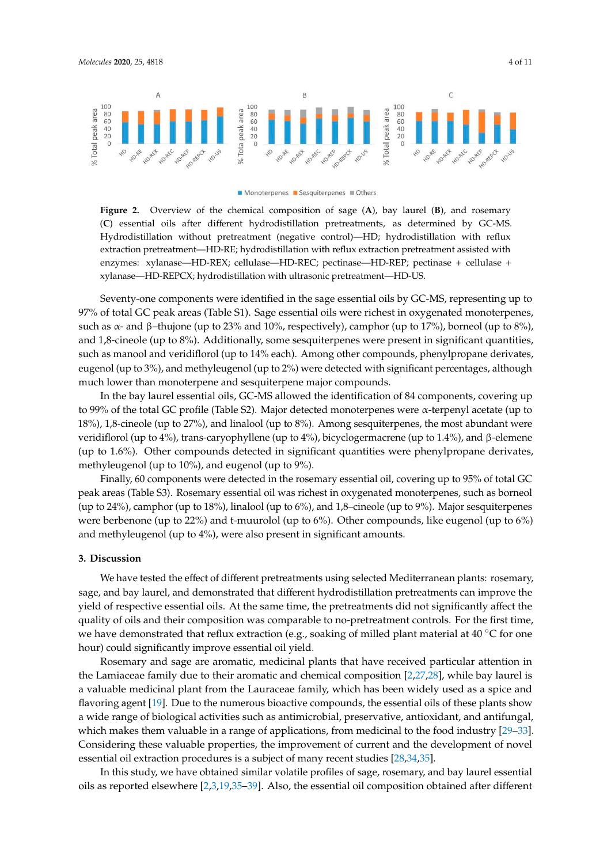<span id="page-3-0"></span>

#### Monoterpenes Sesquiterpenes Others

Figure 2. Overview of the chemical composition of sage  $(A)$ , bay laurel  $(B)$ , and rosemary oils after different hydrodistillation pretreatments, as determined by GC-MS. Hydrodistillation (**C**) essential oils after different hydrodistillation pretreatments, as determined by GC-MS. Hydrodistillation without pretreatment (negative control)—HD; hydrodistillation with reflux extraction with reflux extraction pretreatment—HD-RE; hydrodistillation with reflux extraction pretreatment assisted with  $\frac{1}{2}$ enzymes: xylanase—HD-REX; cellulase—HD-REC; pectinase—HD-REP; pectinase + cellulase +  $\frac{1}{2}$ REPCX; hydrodistillation with ultrasonic pretreatment—HD-US. xylanase—HD-REPCX; hydrodistillation with ultrasonic pretreatment—HD-US.

97% of total GC peak areas (Table S1). Sage essential oils were richest in oxygenated monoterpenes, such as  $\alpha$ - and β–thujone (up to 23% and 10%, respectively), camphor (up to 17%), borneol (up to 8%), and 1,8-cineole (up to 8%). Additionally, some sesquiterpenes were present in significant quantities, such as manool and veridiflorol (up to 14% each). Among other compounds, phenylpropane derivates, eugenol (up to 3%), and methyleugenol (up to 2%) were detected with significant percentages, although much lower than monoterpene and sesquiterpene major compounds. Seventy-one components were identified in the sage essential oils by GC-MS, representing up to

In the bay laurel essential oils, GC-MS allowed the identification of 84 components, covering up to 99% of the total GC profile (Table S2). Major detected monoterpenes were  $\alpha$ -terpenyl acetate (up to 18%), 1,8-cineole (up to 27%), and linalool (up to 8%). Among sesquiterpenes, the most abundant were veridiflorol (up to 4%), trans-caryophyllene (up to 4%), bicyclogermacrene (up to 1.4%), and β-elemene (up to 1.6%). Other compounds detected in significant quantities were phenylpropane derivates, methyleugenol (up to 10%), and eugenol (up to 9%).

 $\frac{d}{dt}$  Finally, 60 components were detected in the rosemary essential oil, covering up to 95% of total GC peak areas (Table S3). Rosemary essential oil was richest in oxygenated monoterpenes, such as borneol (up to 24%), camphor (up to 18%), linalool (up to 6%), and 1,8–cineole (up to 9%). Major sesquiterpenes were berbenone (up to 22%) and t-muurolol (up to 6%). Other compounds, like eugenol (up to 6%) and methyleugenol (up to 4%), were also present in significant amounts.  $\mathcal{E}(\mathbf{u}) = \mathcal{E}(\mathbf{u})$ , were also present in significant amounts.

#### **3. Discussion**

**3. Discussion**  sage, and bay laurel, and demonstrated that different hydrodistillation pretreatments can improve the yield of respective essential oils. At the same time, the pretreatments did not significantly affect the quality of oils and their composition was comparable to no-pretreatment controls. For the first time, we have demonstrated that reflux extraction (e.g., soaking of milled plant material at 40 ℃ for one hour) could significantly improve essential oil yield. We have tested the effect of different pretreatments using selected Mediterranean plants: rosemary,

Rosemary and sage are aromatic, medicinal plants that have received particular attention in the Lamiaceae family due to their aromatic and chemical composition [\[2,](#page-8-9)[27,](#page-9-8)[28\]](#page-9-9), while bay laurel is a valuable medicinal plant from the Lauraceae family, which has been widely used as a spice and flavoring agent [\[19\]](#page-9-5). Due to the numerous bioactive compounds, the essential oils of these plants show a wide range of biological activities such as antimicrobial, preservative, antioxidant, and antifungal, which makes them valuable in a range of applications, from medicinal to the food industry [29-[33\]](#page-9-11). Considering these valuable properties, the improvement of current and the development of novel essential oil extraction procedures is a subject of many recent studies [\[28,](#page-9-9)[34,](#page-10-0)[35\]](#page-10-1).

In this study, we have obtained similar volatile profiles of sage, rosemary, and bay laurel essential oils as reported elsewhere [\[2](#page-8-9)[,3,](#page-8-1)[19,](#page-9-5)[35](#page-10-1)[–39\]](#page-10-2). Also, the essential oil composition obtained after different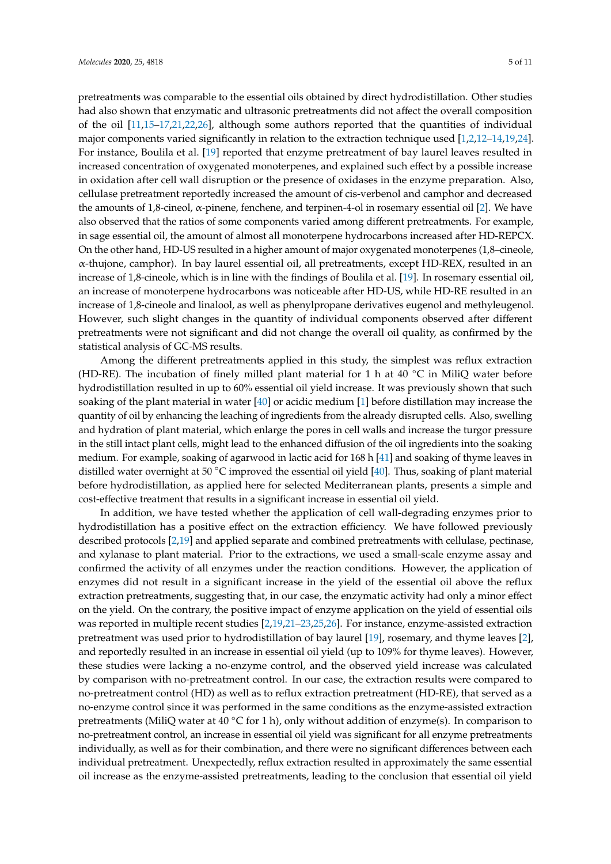pretreatments was comparable to the essential oils obtained by direct hydrodistillation. Other studies had also shown that enzymatic and ultrasonic pretreatments did not affect the overall composition of the oil [\[11,](#page-8-6)[15](#page-9-1)[–17](#page-9-2)[,21](#page-9-6)[,22](#page-9-4)[,26\]](#page-9-7), although some authors reported that the quantities of individual major components varied significantly in relation to the extraction technique used [\[1](#page-8-0)[,2,](#page-8-9)[12–](#page-8-7)[14,](#page-9-0)[19,](#page-9-5)[24\]](#page-9-12). For instance, Boulila et al. [\[19\]](#page-9-5) reported that enzyme pretreatment of bay laurel leaves resulted in increased concentration of oxygenated monoterpenes, and explained such effect by a possible increase in oxidation after cell wall disruption or the presence of oxidases in the enzyme preparation. Also, cellulase pretreatment reportedly increased the amount of cis-verbenol and camphor and decreased the amounts of 1,8-cineol,  $\alpha$ -pinene, fenchene, and terpinen-4-ol in rosemary essential oil [\[2\]](#page-8-9). We have also observed that the ratios of some components varied among different pretreatments. For example, in sage essential oil, the amount of almost all monoterpene hydrocarbons increased after HD-REPCX. On the other hand, HD-US resulted in a higher amount of major oxygenated monoterpenes (1,8–cineole, α-thujone, camphor). In bay laurel essential oil, all pretreatments, except HD-REX, resulted in an increase of 1,8-cineole, which is in line with the findings of Boulila et al. [\[19\]](#page-9-5). In rosemary essential oil, an increase of monoterpene hydrocarbons was noticeable after HD-US, while HD-RE resulted in an increase of 1,8-cineole and linalool, as well as phenylpropane derivatives eugenol and methyleugenol. However, such slight changes in the quantity of individual components observed after different pretreatments were not significant and did not change the overall oil quality, as confirmed by the statistical analysis of GC-MS results.

Among the different pretreatments applied in this study, the simplest was reflux extraction (HD-RE). The incubation of finely milled plant material for 1 h at 40  $°C$  in MiliQ water before hydrodistillation resulted in up to 60% essential oil yield increase. It was previously shown that such soaking of the plant material in water [\[40\]](#page-10-3) or acidic medium [\[1\]](#page-8-0) before distillation may increase the quantity of oil by enhancing the leaching of ingredients from the already disrupted cells. Also, swelling and hydration of plant material, which enlarge the pores in cell walls and increase the turgor pressure in the still intact plant cells, might lead to the enhanced diffusion of the oil ingredients into the soaking medium. For example, soaking of agarwood in lactic acid for 168 h [\[41\]](#page-10-4) and soaking of thyme leaves in distilled water overnight at 50 ◦C improved the essential oil yield [\[40\]](#page-10-3). Thus, soaking of plant material before hydrodistillation, as applied here for selected Mediterranean plants, presents a simple and cost-effective treatment that results in a significant increase in essential oil yield.

In addition, we have tested whether the application of cell wall-degrading enzymes prior to hydrodistillation has a positive effect on the extraction efficiency. We have followed previously described protocols [\[2](#page-8-9)[,19\]](#page-9-5) and applied separate and combined pretreatments with cellulase, pectinase, and xylanase to plant material. Prior to the extractions, we used a small-scale enzyme assay and confirmed the activity of all enzymes under the reaction conditions. However, the application of enzymes did not result in a significant increase in the yield of the essential oil above the reflux extraction pretreatments, suggesting that, in our case, the enzymatic activity had only a minor effect on the yield. On the contrary, the positive impact of enzyme application on the yield of essential oils was reported in multiple recent studies [\[2](#page-8-9)[,19](#page-9-5)[,21](#page-9-6)[–23,](#page-9-13)[25](#page-9-14)[,26\]](#page-9-7). For instance, enzyme-assisted extraction pretreatment was used prior to hydrodistillation of bay laurel [\[19\]](#page-9-5), rosemary, and thyme leaves [\[2\]](#page-8-9), and reportedly resulted in an increase in essential oil yield (up to 109% for thyme leaves). However, these studies were lacking a no-enzyme control, and the observed yield increase was calculated by comparison with no-pretreatment control. In our case, the extraction results were compared to no-pretreatment control (HD) as well as to reflux extraction pretreatment (HD-RE), that served as a no-enzyme control since it was performed in the same conditions as the enzyme-assisted extraction pretreatments (MiliQ water at 40 °C for 1 h), only without addition of enzyme(s). In comparison to no-pretreatment control, an increase in essential oil yield was significant for all enzyme pretreatments individually, as well as for their combination, and there were no significant differences between each individual pretreatment. Unexpectedly, reflux extraction resulted in approximately the same essential oil increase as the enzyme-assisted pretreatments, leading to the conclusion that essential oil yield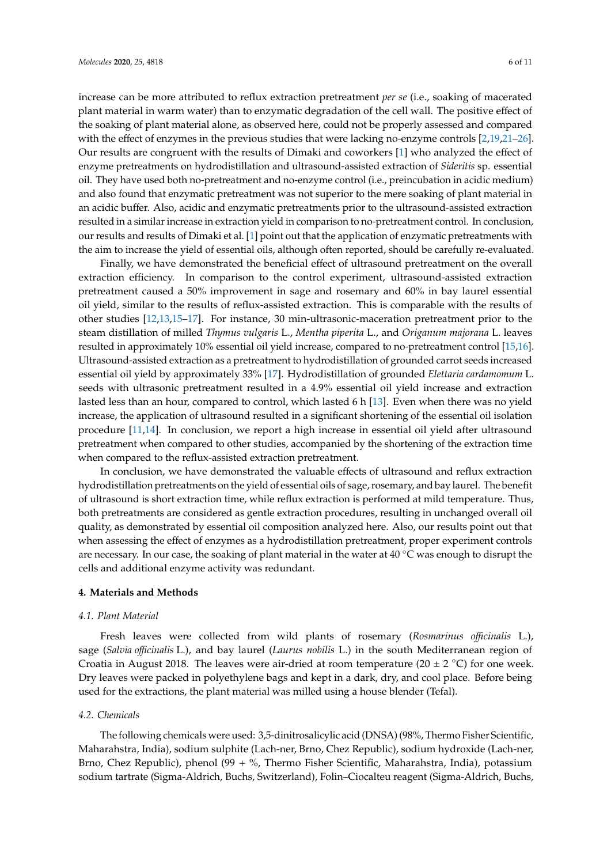increase can be more attributed to reflux extraction pretreatment *per se* (i.e., soaking of macerated plant material in warm water) than to enzymatic degradation of the cell wall. The positive effect of the soaking of plant material alone, as observed here, could not be properly assessed and compared with the effect of enzymes in the previous studies that were lacking no-enzyme controls [\[2,](#page-8-9)[19,](#page-9-5)[21–](#page-9-6)[26\]](#page-9-7). Our results are congruent with the results of Dimaki and coworkers [\[1\]](#page-8-0) who analyzed the effect of enzyme pretreatments on hydrodistillation and ultrasound-assisted extraction of *Sideritis* sp. essential oil. They have used both no-pretreatment and no-enzyme control (i.e., preincubation in acidic medium) and also found that enzymatic pretreatment was not superior to the mere soaking of plant material in an acidic buffer. Also, acidic and enzymatic pretreatments prior to the ultrasound-assisted extraction resulted in a similar increase in extraction yield in comparison to no-pretreatment control. In conclusion, our results and results of Dimaki et al. [\[1\]](#page-8-0) point out that the application of enzymatic pretreatments with the aim to increase the yield of essential oils, although often reported, should be carefully re-evaluated.

Finally, we have demonstrated the beneficial effect of ultrasound pretreatment on the overall extraction efficiency. In comparison to the control experiment, ultrasound-assisted extraction pretreatment caused a 50% improvement in sage and rosemary and 60% in bay laurel essential oil yield, similar to the results of reflux-assisted extraction. This is comparable with the results of other studies [\[12,](#page-8-7)[13](#page-8-8)[,15–](#page-9-1)[17\]](#page-9-2). For instance, 30 min-ultrasonic-maceration pretreatment prior to the steam distillation of milled *Thymus vulgaris* L., *Mentha piperita* L., and *Origanum majorana* L. leaves resulted in approximately 10% essential oil yield increase, compared to no-pretreatment control [\[15](#page-9-1)[,16\]](#page-9-15). Ultrasound-assisted extraction as a pretreatment to hydrodistillation of grounded carrot seeds increased essential oil yield by approximately 33% [\[17\]](#page-9-2). Hydrodistillation of grounded *Elettaria cardamomum* L. seeds with ultrasonic pretreatment resulted in a 4.9% essential oil yield increase and extraction lasted less than an hour, compared to control, which lasted 6 h [\[13\]](#page-8-8). Even when there was no yield increase, the application of ultrasound resulted in a significant shortening of the essential oil isolation procedure [\[11](#page-8-6)[,14\]](#page-9-0). In conclusion, we report a high increase in essential oil yield after ultrasound pretreatment when compared to other studies, accompanied by the shortening of the extraction time when compared to the reflux-assisted extraction pretreatment.

In conclusion, we have demonstrated the valuable effects of ultrasound and reflux extraction hydrodistillation pretreatments on the yield of essential oils of sage, rosemary, and bay laurel. The benefit of ultrasound is short extraction time, while reflux extraction is performed at mild temperature. Thus, both pretreatments are considered as gentle extraction procedures, resulting in unchanged overall oil quality, as demonstrated by essential oil composition analyzed here. Also, our results point out that when assessing the effect of enzymes as a hydrodistillation pretreatment, proper experiment controls are necessary. In our case, the soaking of plant material in the water at 40 ◦C was enough to disrupt the cells and additional enzyme activity was redundant.

#### **4. Materials and Methods**

#### *4.1. Plant Material*

Fresh leaves were collected from wild plants of rosemary (*Rosmarinus o*ffi*cinalis* L.), sage (*Salvia o*ffi*cinalis* L.), and bay laurel (*Laurus nobilis* L.) in the south Mediterranean region of Croatia in August 2018. The leaves were air-dried at room temperature (20  $\pm$  2 °C) for one week. Dry leaves were packed in polyethylene bags and kept in a dark, dry, and cool place. Before being used for the extractions, the plant material was milled using a house blender (Tefal).

# *4.2. Chemicals*

The following chemicals were used: 3,5-dinitrosalicylic acid (DNSA) (98%, Thermo Fisher Scientific, Maharahstra, India), sodium sulphite (Lach-ner, Brno, Chez Republic), sodium hydroxide (Lach-ner, Brno, Chez Republic), phenol (99 + %, Thermo Fisher Scientific, Maharahstra, India), potassium sodium tartrate (Sigma-Aldrich, Buchs, Switzerland), Folin–Ciocalteu reagent (Sigma-Aldrich, Buchs,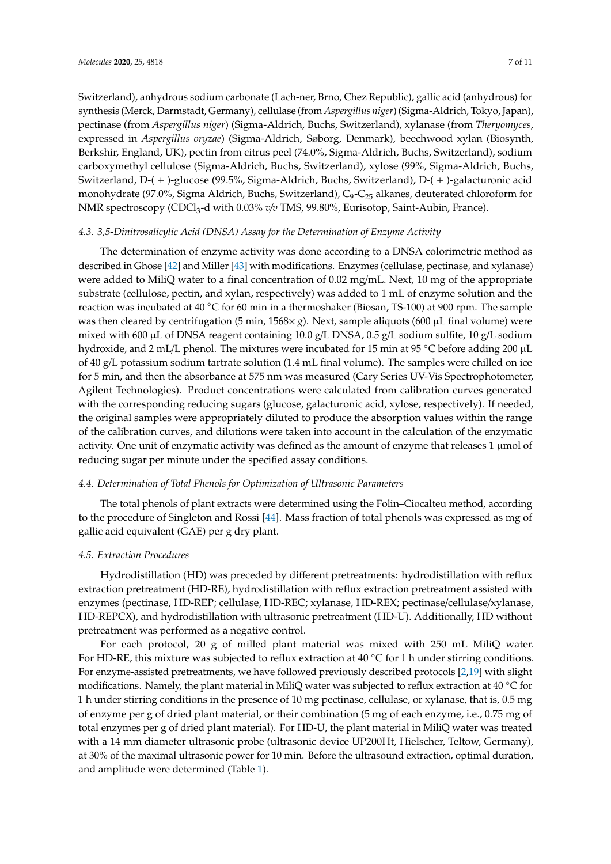Switzerland), anhydrous sodium carbonate (Lach-ner, Brno, Chez Republic), gallic acid (anhydrous) for synthesis (Merck, Darmstadt, Germany), cellulase (from *Aspergillus niger*) (Sigma-Aldrich, Tokyo, Japan), pectinase (from *Aspergillus niger*) (Sigma-Aldrich, Buchs, Switzerland), xylanase (from *Theryomyces*, expressed in *Aspergillus oryzae*) (Sigma-Aldrich, Søborg, Denmark), beechwood xylan (Biosynth, Berkshir, England, UK), pectin from citrus peel (74.0%, Sigma-Aldrich, Buchs, Switzerland), sodium carboxymethyl cellulose (Sigma-Aldrich, Buchs, Switzerland), xylose (99%, Sigma-Aldrich, Buchs, Switzerland, D-( + )-glucose (99.5%, Sigma-Aldrich, Buchs, Switzerland), D-( + )-galacturonic acid monohydrate (97.0%, Sigma Aldrich, Buchs, Switzerland), C<sub>9</sub>-C<sub>25</sub> alkanes, deuterated chloroform for NMR spectroscopy (CDCl<sub>3</sub>-d with 0.03% *v/v* TMS, 99.80%, Eurisotop, Saint-Aubin, France).

# *4.3. 3,5-Dinitrosalicylic Acid (DNSA) Assay for the Determination of Enzyme Activity*

The determination of enzyme activity was done according to a DNSA colorimetric method as described in Ghose [\[42\]](#page-10-5) and Miller [\[43\]](#page-10-6) with modifications. Enzymes (cellulase, pectinase, and xylanase) were added to MiliQ water to a final concentration of 0.02 mg/mL. Next, 10 mg of the appropriate substrate (cellulose, pectin, and xylan, respectively) was added to 1 mL of enzyme solution and the reaction was incubated at 40 ◦C for 60 min in a thermoshaker (Biosan, TS-100) at 900 rpm. The sample was then cleared by centrifugation (5 min, 1568× *g*). Next, sample aliquots (600 µL final volume) were mixed with 600 µL of DNSA reagent containing 10.0  $g/L$  DNSA, 0.5  $g/L$  sodium sulfite, 10  $g/L$  sodium hydroxide, and 2 mL/L phenol. The mixtures were incubated for 15 min at 95 ◦C before adding 200 µ<sup>L</sup> of 40 g/L potassium sodium tartrate solution (1.4 mL final volume). The samples were chilled on ice for 5 min, and then the absorbance at 575 nm was measured (Cary Series UV-Vis Spectrophotometer, Agilent Technologies). Product concentrations were calculated from calibration curves generated with the corresponding reducing sugars (glucose, galacturonic acid, xylose, respectively). If needed, the original samples were appropriately diluted to produce the absorption values within the range of the calibration curves, and dilutions were taken into account in the calculation of the enzymatic activity. One unit of enzymatic activity was defined as the amount of enzyme that releases 1 µmol of reducing sugar per minute under the specified assay conditions.

# *4.4. Determination of Total Phenols for Optimization of Ultrasonic Parameters*

The total phenols of plant extracts were determined using the Folin–Ciocalteu method, according to the procedure of Singleton and Rossi [\[44\]](#page-10-7). Mass fraction of total phenols was expressed as mg of gallic acid equivalent (GAE) per g dry plant.

# *4.5. Extraction Procedures*

Hydrodistillation (HD) was preceded by different pretreatments: hydrodistillation with reflux extraction pretreatment (HD-RE), hydrodistillation with reflux extraction pretreatment assisted with enzymes (pectinase, HD-REP; cellulase, HD-REC; xylanase, HD-REX; pectinase/cellulase/xylanase, HD-REPCX), and hydrodistillation with ultrasonic pretreatment (HD-U). Additionally, HD without pretreatment was performed as a negative control.

For each protocol, 20 g of milled plant material was mixed with 250 mL MiliQ water. For HD-RE, this mixture was subjected to reflux extraction at  $40\degree$ C for 1 h under stirring conditions. For enzyme-assisted pretreatments, we have followed previously described protocols [\[2](#page-8-9)[,19\]](#page-9-5) with slight modifications. Namely, the plant material in MiliQ water was subjected to reflux extraction at 40 ◦C for 1 h under stirring conditions in the presence of 10 mg pectinase, cellulase, or xylanase, that is, 0.5 mg of enzyme per g of dried plant material, or their combination (5 mg of each enzyme, i.e., 0.75 mg of total enzymes per g of dried plant material). For HD-U, the plant material in MiliQ water was treated with a 14 mm diameter ultrasonic probe (ultrasonic device UP200Ht, Hielscher, Teltow, Germany), at 30% of the maximal ultrasonic power for 10 min. Before the ultrasound extraction, optimal duration, and amplitude were determined (Table [1\)](#page-1-0).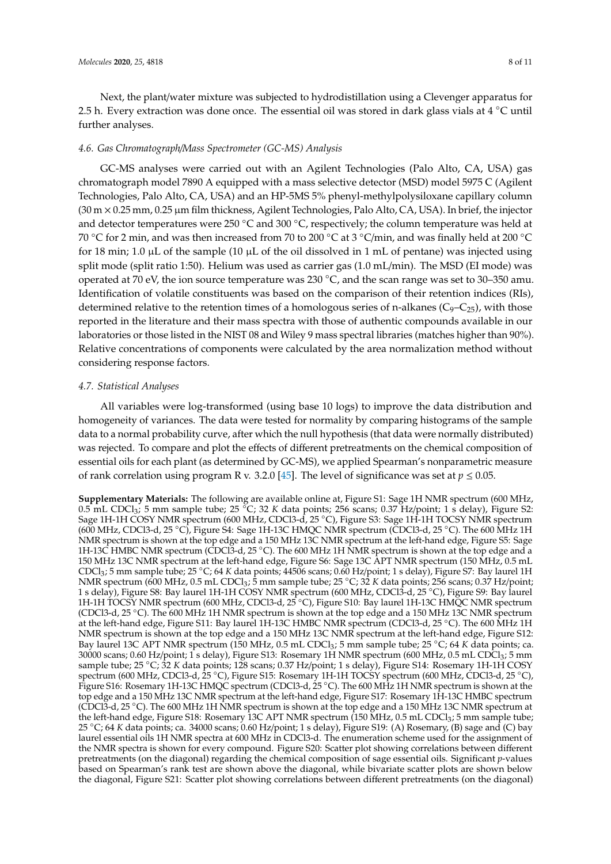Next, the plant/water mixture was subjected to hydrodistillation using a Clevenger apparatus for 2.5 h. Every extraction was done once. The essential oil was stored in dark glass vials at 4  $°C$  until further analyses.

# *4.6. Gas Chromatograph*/*Mass Spectrometer (GC-MS) Analysis*

GC-MS analyses were carried out with an Agilent Technologies (Palo Alto, CA, USA) gas chromatograph model 7890 A equipped with a mass selective detector (MSD) model 5975 C (Agilent Technologies, Palo Alto, CA, USA) and an HP-5MS 5% phenyl-methylpolysiloxane capillary column  $(30 \text{ m} \times 0.25 \text{ mm}, 0.25 \text{ µm}$  film thickness, Agilent Technologies, Palo Alto, CA, USA). In brief, the injector and detector temperatures were 250 °C and 300 °C, respectively; the column temperature was held at 70 ◦C for 2 min, and was then increased from 70 to 200 ◦C at 3 ◦C/min, and was finally held at 200 ◦C for 18 min; 1.0  $\mu$ L of the sample (10  $\mu$ L of the oil dissolved in 1 mL of pentane) was injected using split mode (split ratio 1:50). Helium was used as carrier gas (1.0 mL/min). The MSD (EI mode) was operated at 70 eV, the ion source temperature was 230 ◦C, and the scan range was set to 30–350 amu. Identification of volatile constituents was based on the comparison of their retention indices (RIs), determined relative to the retention times of a homologous series of n-alkanes ( $C_9-C_{25}$ ), with those reported in the literature and their mass spectra with those of authentic compounds available in our laboratories or those listed in the NIST 08 and Wiley 9 mass spectral libraries (matches higher than 90%). Relative concentrations of components were calculated by the area normalization method without considering response factors.

## *4.7. Statistical Analyses*

All variables were log-transformed (using base 10 logs) to improve the data distribution and homogeneity of variances. The data were tested for normality by comparing histograms of the sample data to a normal probability curve, after which the null hypothesis (that data were normally distributed) was rejected. To compare and plot the effects of different pretreatments on the chemical composition of essential oils for each plant (as determined by GC-MS), we applied Spearman's nonparametric measure of rank correlation using program R v. 3.2.0 [\[45\]](#page-10-8). The level of significance was set at  $p \le 0.05$ .

**Supplementary Materials:** The following are available online at, Figure S1: Sage 1H NMR spectrum (600 MHz, 0.5 mL CDCl<sup>3</sup> ; 5 mm sample tube; 25 ◦C; 32 *K* data points; 256 scans; 0.37 Hz/point; 1 s delay), Figure S2: Sage 1H-1H COSY NMR spectrum (600 MHz, CDCl3-d, 25 ◦C), Figure S3: Sage 1H-1H TOCSY NMR spectrum (600 MHz, CDCl3-d, 25 ◦C), Figure S4: Sage 1H-13C HMQC NMR spectrum (CDCl3-d, 25 ◦C). The 600 MHz 1H NMR spectrum is shown at the top edge and a 150 MHz 13C NMR spectrum at the left-hand edge, Figure S5: Sage 1H-13C HMBC NMR spectrum (CDCl3-d, 25 °C). The 600 MHz 1H NMR spectrum is shown at the top edge and a 150 MHz 13C NMR spectrum at the left-hand edge, Figure S6: Sage 13C APT NMR spectrum (150 MHz, 0.5 mL CDCl<sup>3</sup> ; 5 mm sample tube; 25 ◦C; 64 *<sup>K</sup>* data points; 44506 scans; 0.60 Hz/point; 1 s delay), Figure S7: Bay laurel 1H NMR spectrum (600 MHz, 0.5 mL CDCl<sup>3</sup> ; 5 mm sample tube; 25 ◦C; 32 *K* data points; 256 scans; 0.37 Hz/point; 1 s delay), Figure S8: Bay laurel 1H-1H COSY NMR spectrum (600 MHz, CDCl3-d, 25 ◦C), Figure S9: Bay laurel 1H-1H TOCSY NMR spectrum (600 MHz, CDCl3-d, 25 ◦C), Figure S10: Bay laurel 1H-13C HMQC NMR spectrum (CDCl3-d, 25 ◦C). The 600 MHz 1H NMR spectrum is shown at the top edge and a 150 MHz 13C NMR spectrum at the left-hand edge, Figure S11: Bay laurel 1H-13C HMBC NMR spectrum (CDCl3-d, 25 ◦C). The 600 MHz 1H NMR spectrum is shown at the top edge and a 150 MHz 13C NMR spectrum at the left-hand edge, Figure S12: Bay laurel 13C APT NMR spectrum (150 MHz, 0.5 mL CDCl<sup>3</sup> ; 5 mm sample tube; 25 ◦C; 64 *K* data points; ca. 30000 scans; 0.60 Hz/point; 1 s delay), Figure S13: Rosemary 1H NMR spectrum (600 MHz, 0.5 mL CDCl<sup>3</sup> ; 5 mm sample tube; 25 °C; 32 *K* data points; 128 scans; 0.37 Hz/point; 1 s delay), Figure S14: Rosemary 1H-1H COSY spectrum (600 MHz, CDCl3-d, 25 ◦C), Figure S15: Rosemary 1H-1H TOCSY spectrum (600 MHz, CDCl3-d, 25 ◦C), Figure S16: Rosemary 1H-13C HMQC spectrum (CDCl3-d, 25 ◦C). The 600 MHz 1H NMR spectrum is shown at the top edge and a 150 MHz 13C NMR spectrum at the left-hand edge, Figure S17: Rosemary 1H-13C HMBC spectrum (CDCl3-d, 25 ◦C). The 600 MHz 1H NMR spectrum is shown at the top edge and a 150 MHz 13C NMR spectrum at the left-hand edge, Figure S18: Rosemary 13C APT NMR spectrum (150 MHz, 0.5 mL CDCl<sup>3</sup> ; 5 mm sample tube; <sup>25</sup> ◦C; 64 *<sup>K</sup>* data points; ca. 34000 scans; 0.60 Hz/point; 1 s delay), Figure S19: (A) Rosemary, (B) sage and (C) bay laurel essential oils 1H NMR spectra at 600 MHz in CDCl3-d. The enumeration scheme used for the assignment of the NMR spectra is shown for every compound. Figure S20: Scatter plot showing correlations between different pretreatments (on the diagonal) regarding the chemical composition of sage essential oils. Significant *p*-values based on Spearman's rank test are shown above the diagonal, while bivariate scatter plots are shown below the diagonal, Figure S21: Scatter plot showing correlations between different pretreatments (on the diagonal)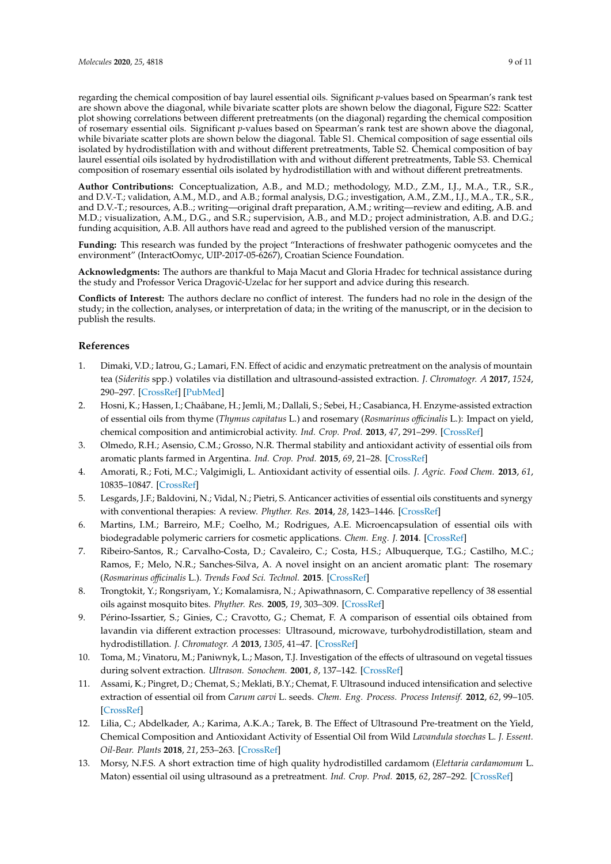regarding the chemical composition of bay laurel essential oils. Significant *p*-values based on Spearman's rank test are shown above the diagonal, while bivariate scatter plots are shown below the diagonal, Figure S22: Scatter plot showing correlations between different pretreatments (on the diagonal) regarding the chemical composition of rosemary essential oils. Significant *p*-values based on Spearman's rank test are shown above the diagonal, while bivariate scatter plots are shown below the diagonal. Table S1. Chemical composition of sage essential oils isolated by hydrodistillation with and without different pretreatments, Table S2. Chemical composition of bay laurel essential oils isolated by hydrodistillation with and without different pretreatments, Table S3. Chemical composition of rosemary essential oils isolated by hydrodistillation with and without different pretreatments.

**Author Contributions:** Conceptualization, A.B., and M.D.; methodology, M.D., Z.M., I.J., M.A., T.R., S.R., and D.V.-T.; validation, A.M., M.D., and A.B.; formal analysis, D.G.; investigation, A.M., Z.M., I.J., M.A., T.R., S.R., and D.V.-T.; resources, A.B..; writing—original draft preparation, A.M.; writing—review and editing, A.B. and M.D.; visualization, A.M., D.G., and S.R.; supervision, A.B., and M.D.; project administration, A.B. and D.G.; funding acquisition, A.B. All authors have read and agreed to the published version of the manuscript.

**Funding:** This research was funded by the project "Interactions of freshwater pathogenic oomycetes and the environment" (InteractOomyc, UIP-2017-05-6267), Croatian Science Foundation.

**Acknowledgments:** The authors are thankful to Maja Macut and Gloria Hradec for technical assistance during the study and Professor Verica Dragović-Uzelac for her support and advice during this research.

**Conflicts of Interest:** The authors declare no conflict of interest. The funders had no role in the design of the study; in the collection, analyses, or interpretation of data; in the writing of the manuscript, or in the decision to publish the results.

# **References**

- <span id="page-8-0"></span>1. Dimaki, V.D.; Iatrou, G.; Lamari, F.N. Effect of acidic and enzymatic pretreatment on the analysis of mountain tea (*Sideritis* spp.) volatiles via distillation and ultrasound-assisted extraction. *J. Chromatogr. A* **2017**, *1524*, 290–297. [\[CrossRef\]](http://dx.doi.org/10.1016/j.chroma.2017.10.011) [\[PubMed\]](http://www.ncbi.nlm.nih.gov/pubmed/29030039)
- <span id="page-8-9"></span>2. Hosni, K.; Hassen, I.; Chaâbane, H.; Jemli, M.; Dallali, S.; Sebei, H.; Casabianca, H. Enzyme-assisted extraction of essential oils from thyme (*Thymus capitatus* L.) and rosemary (*Rosmarinus o*ffi*cinalis* L.): Impact on yield, chemical composition and antimicrobial activity. *Ind. Crop. Prod.* **2013**, *47*, 291–299. [\[CrossRef\]](http://dx.doi.org/10.1016/j.indcrop.2013.03.023)
- <span id="page-8-1"></span>3. Olmedo, R.H.; Asensio, C.M.; Grosso, N.R. Thermal stability and antioxidant activity of essential oils from aromatic plants farmed in Argentina. *Ind. Crop. Prod.* **2015**, *69*, 21–28. [\[CrossRef\]](http://dx.doi.org/10.1016/j.indcrop.2015.02.005)
- <span id="page-8-2"></span>4. Amorati, R.; Foti, M.C.; Valgimigli, L. Antioxidant activity of essential oils. *J. Agric. Food Chem.* **2013**, *61*, 10835–10847. [\[CrossRef\]](http://dx.doi.org/10.1021/jf403496k)
- 5. Lesgards, J.F.; Baldovini, N.; Vidal, N.; Pietri, S. Anticancer activities of essential oils constituents and synergy with conventional therapies: A review. *Phyther. Res.* **2014**, *28*, 1423–1446. [\[CrossRef\]](http://dx.doi.org/10.1002/ptr.5165)
- 6. Martins, I.M.; Barreiro, M.F.; Coelho, M.; Rodrigues, A.E. Microencapsulation of essential oils with biodegradable polymeric carriers for cosmetic applications. *Chem. Eng. J.* **2014**. [\[CrossRef\]](http://dx.doi.org/10.1016/j.cej.2014.02.024)
- 7. Ribeiro-Santos, R.; Carvalho-Costa, D.; Cavaleiro, C.; Costa, H.S.; Albuquerque, T.G.; Castilho, M.C.; Ramos, F.; Melo, N.R.; Sanches-Silva, A. A novel insight on an ancient aromatic plant: The rosemary (*Rosmarinus o*ffi*cinalis* L.). *Trends Food Sci. Technol.* **2015**. [\[CrossRef\]](http://dx.doi.org/10.1016/j.tifs.2015.07.015)
- <span id="page-8-3"></span>8. Trongtokit, Y.; Rongsriyam, Y.; Komalamisra, N.; Apiwathnasorn, C. Comparative repellency of 38 essential oils against mosquito bites. *Phyther. Res.* **2005**, *19*, 303–309. [\[CrossRef\]](http://dx.doi.org/10.1002/ptr.1637)
- <span id="page-8-4"></span>9. Périno-Issartier, S.; Ginies, C.; Cravotto, G.; Chemat, F. A comparison of essential oils obtained from lavandin via different extraction processes: Ultrasound, microwave, turbohydrodistillation, steam and hydrodistillation. *J. Chromatogr. A* **2013**, *1305*, 41–47. [\[CrossRef\]](http://dx.doi.org/10.1016/j.chroma.2013.07.024)
- <span id="page-8-5"></span>10. Toma, M.; Vinatoru, M.; Paniwnyk, L.; Mason, T.J. Investigation of the effects of ultrasound on vegetal tissues during solvent extraction. *Ultrason. Sonochem.* **2001**, *8*, 137–142. [\[CrossRef\]](http://dx.doi.org/10.1016/S1350-4177(00)00033-X)
- <span id="page-8-6"></span>11. Assami, K.; Pingret, D.; Chemat, S.; Meklati, B.Y.; Chemat, F. Ultrasound induced intensification and selective extraction of essential oil from *Carum carvi* L. seeds. *Chem. Eng. Process. Process Intensif.* **2012**, *62*, 99–105. [\[CrossRef\]](http://dx.doi.org/10.1016/j.cep.2012.09.003)
- <span id="page-8-7"></span>12. Lilia, C.; Abdelkader, A.; Karima, A.K.A.; Tarek, B. The Effect of Ultrasound Pre-treatment on the Yield, Chemical Composition and Antioxidant Activity of Essential Oil from Wild *Lavandula stoechas* L. *J. Essent. Oil-Bear. Plants* **2018**, *21*, 253–263. [\[CrossRef\]](http://dx.doi.org/10.1080/0972060X.2018.1432419)
- <span id="page-8-8"></span>13. Morsy, N.F.S. A short extraction time of high quality hydrodistilled cardamom (*Elettaria cardamomum* L. Maton) essential oil using ultrasound as a pretreatment. *Ind. Crop. Prod.* **2015**, *62*, 287–292. [\[CrossRef\]](http://dx.doi.org/10.1016/j.indcrop.2014.12.012)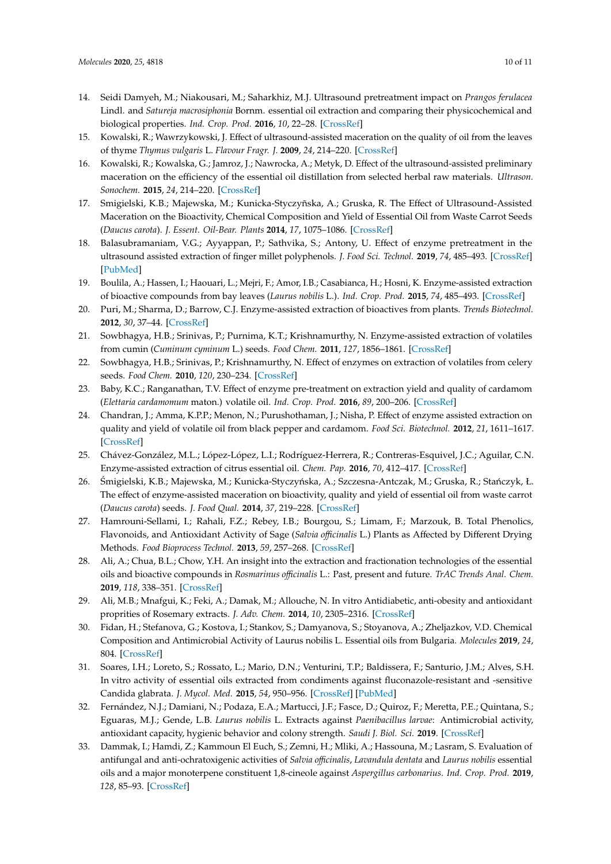- <span id="page-9-0"></span>14. Seidi Damyeh, M.; Niakousari, M.; Saharkhiz, M.J. Ultrasound pretreatment impact on *Prangos ferulacea* Lindl. and *Satureja macrosiphonia* Bornm. essential oil extraction and comparing their physicochemical and biological properties. *Ind. Crop. Prod.* **2016**, *10*, 22–28. [\[CrossRef\]](http://dx.doi.org/10.1016/j.indcrop.2016.04.025)
- <span id="page-9-1"></span>15. Kowalski, R.; Wawrzykowski, J. Effect of ultrasound-assisted maceration on the quality of oil from the leaves of thyme *Thymus vulgaris* L. *Flavour Fragr. J.* **2009**, *24*, 214–220. [\[CrossRef\]](http://dx.doi.org/10.1002/ffj.1918)
- <span id="page-9-15"></span>16. Kowalski, R.; Kowalska, G.; Jamroz, J.; Nawrocka, A.; Metyk, D. Effect of the ultrasound-assisted preliminary maceration on the efficiency of the essential oil distillation from selected herbal raw materials. *Ultrason. Sonochem.* **2015**, *24*, 214–220. [\[CrossRef\]](http://dx.doi.org/10.1016/j.ultsonch.2014.12.008)
- <span id="page-9-2"></span>17. Smigielski, K.B.; Majewska, M.; Kunicka-Styczyñska, A.; Gruska, R. The Effect of Ultrasound-Assisted Maceration on the Bioactivity, Chemical Composition and Yield of Essential Oil from Waste Carrot Seeds (*Daucus carota*). *J. Essent. Oil-Bear. Plants* **2014**, *17*, 1075–1086. [\[CrossRef\]](http://dx.doi.org/10.1080/0972060X.2014.931253)
- <span id="page-9-3"></span>18. Balasubramaniam, V.G.; Ayyappan, P.; Sathvika, S.; Antony, U. Effect of enzyme pretreatment in the ultrasound assisted extraction of finger millet polyphenols. *J. Food Sci. Technol.* **2019**, *74*, 485–493. [\[CrossRef\]](http://dx.doi.org/10.1007/s13197-019-03672-2) [\[PubMed\]](http://www.ncbi.nlm.nih.gov/pubmed/30956339)
- <span id="page-9-5"></span>19. Boulila, A.; Hassen, I.; Haouari, L.; Mejri, F.; Amor, I.B.; Casabianca, H.; Hosni, K. Enzyme-assisted extraction of bioactive compounds from bay leaves (*Laurus nobilis* L.). *Ind. Crop. Prod.* **2015**, *74*, 485–493. [\[CrossRef\]](http://dx.doi.org/10.1016/j.indcrop.2015.05.050)
- 20. Puri, M.; Sharma, D.; Barrow, C.J. Enzyme-assisted extraction of bioactives from plants. *Trends Biotechnol.* **2012**, *30*, 37–44. [\[CrossRef\]](http://dx.doi.org/10.1016/j.tibtech.2011.06.014)
- <span id="page-9-6"></span>21. Sowbhagya, H.B.; Srinivas, P.; Purnima, K.T.; Krishnamurthy, N. Enzyme-assisted extraction of volatiles from cumin (*Cuminum cyminum* L.) seeds. *Food Chem.* **2011**, *127*, 1856–1861. [\[CrossRef\]](http://dx.doi.org/10.1016/j.foodchem.2011.02.001)
- <span id="page-9-4"></span>22. Sowbhagya, H.B.; Srinivas, P.; Krishnamurthy, N. Effect of enzymes on extraction of volatiles from celery seeds. *Food Chem.* **2010**, *120*, 230–234. [\[CrossRef\]](http://dx.doi.org/10.1016/j.foodchem.2009.10.013)
- <span id="page-9-13"></span>23. Baby, K.C.; Ranganathan, T.V. Effect of enzyme pre-treatment on extraction yield and quality of cardamom (*Elettaria cardamomum* maton.) volatile oil. *Ind. Crop. Prod.* **2016**, *89*, 200–206. [\[CrossRef\]](http://dx.doi.org/10.1016/j.indcrop.2016.05.017)
- <span id="page-9-12"></span>24. Chandran, J.; Amma, K.P.P.; Menon, N.; Purushothaman, J.; Nisha, P. Effect of enzyme assisted extraction on quality and yield of volatile oil from black pepper and cardamom. *Food Sci. Biotechnol.* **2012**, *21*, 1611–1617. [\[CrossRef\]](http://dx.doi.org/10.1007/s10068-012-0214-y)
- <span id="page-9-14"></span>25. Chávez-González, M.L.; López-López, L.I.; Rodríguez-Herrera, R.; Contreras-Esquivel, J.C.; Aguilar, C.N. Enzyme-assisted extraction of citrus essential oil. *Chem. Pap.* **2016**, *70*, 412–417. [\[CrossRef\]](http://dx.doi.org/10.1515/chempap-2015-0234)
- <span id="page-9-7"></span>26. Smigielski, K.B.; Majewska, M.; Kunicka-Styczyńska, A.; Szczesna-Antczak, M.; Gruska, R.; Stańczyk, Ł. The effect of enzyme-assisted maceration on bioactivity, quality and yield of essential oil from waste carrot (*Daucus carota*) seeds. *J. Food Qual.* **2014**, *37*, 219–228. [\[CrossRef\]](http://dx.doi.org/10.1111/jfq.12092)
- <span id="page-9-8"></span>27. Hamrouni-Sellami, I.; Rahali, F.Z.; Rebey, I.B.; Bourgou, S.; Limam, F.; Marzouk, B. Total Phenolics, Flavonoids, and Antioxidant Activity of Sage (*Salvia o*ffi*cinalis* L.) Plants as Affected by Different Drying Methods. *Food Bioprocess Technol.* **2013**, *59*, 257–268. [\[CrossRef\]](http://dx.doi.org/10.1007/s11947-012-0877-7)
- <span id="page-9-9"></span>28. Ali, A.; Chua, B.L.; Chow, Y.H. An insight into the extraction and fractionation technologies of the essential oils and bioactive compounds in *Rosmarinus o*ffi*cinalis* L.: Past, present and future. *TrAC Trends Anal. Chem.* **2019**, *118*, 338–351. [\[CrossRef\]](http://dx.doi.org/10.1016/j.trac.2019.05.040)
- <span id="page-9-10"></span>29. Ali, M.B.; Mnafgui, K.; Feki, A.; Damak, M.; Allouche, N. In vitro Antidiabetic, anti-obesity and antioxidant proprities of Rosemary extracts. *J. Adv. Chem.* **2014**, *10*, 2305–2316. [\[CrossRef\]](http://dx.doi.org/10.24297/jac.v10i2.5497)
- 30. Fidan, H.; Stefanova, G.; Kostova, I.; Stankov, S.; Damyanova, S.; Stoyanova, A.; Zheljazkov, V.D. Chemical Composition and Antimicrobial Activity of Laurus nobilis L. Essential oils from Bulgaria. *Molecules* **2019**, *24*, 804. [\[CrossRef\]](http://dx.doi.org/10.3390/molecules24040804)
- 31. Soares, I.H.; Loreto, S.; Rossato, L.; Mario, D.N.; Venturini, T.P.; Baldissera, F.; Santurio, J.M.; Alves, S.H. In vitro activity of essential oils extracted from condiments against fluconazole-resistant and -sensitive Candida glabrata. *J. Mycol. Med.* **2015**, *54*, 950–956. [\[CrossRef\]](http://dx.doi.org/10.1016/j.mycmed.2015.06.003) [\[PubMed\]](http://www.ncbi.nlm.nih.gov/pubmed/26281965)
- 32. Fernández, N.J.; Damiani, N.; Podaza, E.A.; Martucci, J.F.; Fasce, D.; Quiroz, F.; Meretta, P.E.; Quintana, S.; Eguaras, M.J.; Gende, L.B. *Laurus nobilis* L. Extracts against *Paenibacillus larvae*: Antimicrobial activity, antioxidant capacity, hygienic behavior and colony strength. *Saudi J. Biol. Sci.* **2019**. [\[CrossRef\]](http://dx.doi.org/10.1016/j.sjbs.2018.04.008)
- <span id="page-9-11"></span>33. Dammak, I.; Hamdi, Z.; Kammoun El Euch, S.; Zemni, H.; Mliki, A.; Hassouna, M.; Lasram, S. Evaluation of antifungal and anti-ochratoxigenic activities of *Salvia o*ffi*cinalis*, *Lavandula dentata* and *Laurus nobilis* essential oils and a major monoterpene constituent 1,8-cineole against *Aspergillus carbonarius*. *Ind. Crop. Prod.* **2019**, *128*, 85–93. [\[CrossRef\]](http://dx.doi.org/10.1016/j.indcrop.2018.11.006)